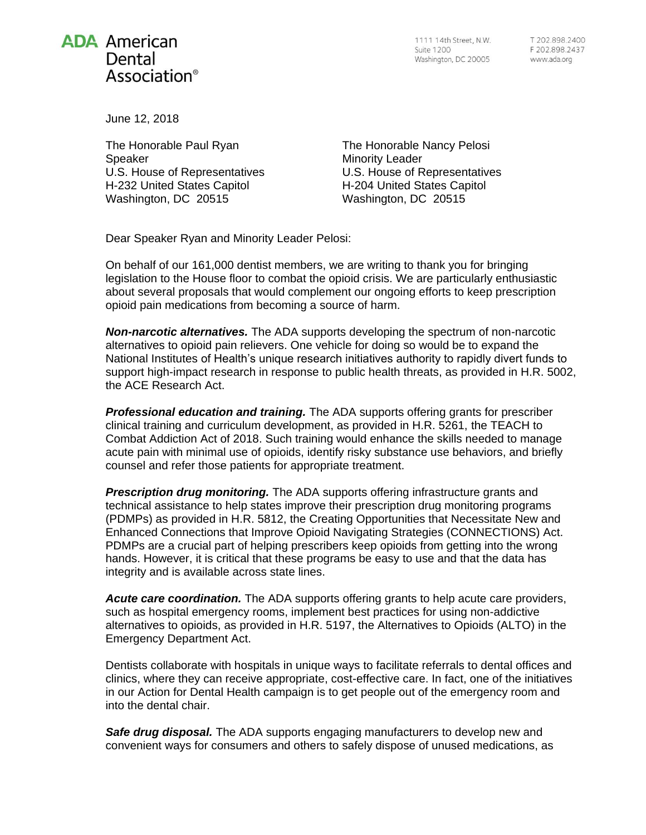## **ADA American** Dental Association<sup>®</sup>

1111 14th Street, N.W. Suite 1200 Washington, DC 20005

June 12, 2018

The Honorable Paul Ryan Speaker U.S. House of Representatives H-232 United States Capitol Washington, DC 20515

The Honorable Nancy Pelosi Minority Leader U.S. House of Representatives H-204 United States Capitol Washington, DC 20515

Dear Speaker Ryan and Minority Leader Pelosi:

On behalf of our 161,000 dentist members, we are writing to thank you for bringing legislation to the House floor to combat the opioid crisis. We are particularly enthusiastic about several proposals that would complement our ongoing efforts to keep prescription opioid pain medications from becoming a source of harm.

*Non-narcotic alternatives.* The ADA supports developing the spectrum of non-narcotic alternatives to opioid pain relievers. One vehicle for doing so would be to expand the National Institutes of Health's unique research initiatives authority to rapidly divert funds to support high-impact research in response to public health threats, as provided in H.R. 5002, the ACE Research Act.

*Professional education and training.* The ADA supports offering grants for prescriber clinical training and curriculum development, as provided in H.R. 5261, the TEACH to Combat Addiction Act of 2018. Such training would enhance the skills needed to manage acute pain with minimal use of opioids, identify risky substance use behaviors, and briefly counsel and refer those patients for appropriate treatment.

*Prescription drug monitoring.* The ADA supports offering infrastructure grants and technical assistance to help states improve their prescription drug monitoring programs (PDMPs) as provided in H.R. 5812, the Creating Opportunities that Necessitate New and Enhanced Connections that Improve Opioid Navigating Strategies (CONNECTIONS) Act. PDMPs are a crucial part of helping prescribers keep opioids from getting into the wrong hands. However, it is critical that these programs be easy to use and that the data has integrity and is available across state lines.

*Acute care coordination.* The ADA supports offering grants to help acute care providers, such as hospital emergency rooms, implement best practices for using non-addictive alternatives to opioids, as provided in H.R. 5197, the Alternatives to Opioids (ALTO) in the Emergency Department Act.

Dentists collaborate with hospitals in unique ways to facilitate referrals to dental offices and clinics, where they can receive appropriate, cost-effective care. In fact, one of the initiatives in our Action for Dental Health campaign is to get people out of the emergency room and into the dental chair.

*Safe drug disposal.* The ADA supports engaging manufacturers to develop new and convenient ways for consumers and others to safely dispose of unused medications, as